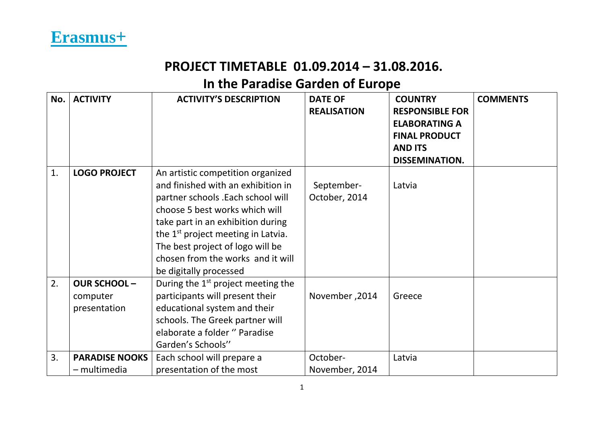| No. | <b>ACTIVITY</b>       | <b>ACTIVITY'S DESCRIPTION</b>                  | <b>DATE OF</b><br><b>REALISATION</b> | <b>COUNTRY</b><br><b>RESPONSIBLE FOR</b> | <b>COMMENTS</b> |
|-----|-----------------------|------------------------------------------------|--------------------------------------|------------------------------------------|-----------------|
|     |                       |                                                |                                      | <b>ELABORATING A</b>                     |                 |
|     |                       |                                                |                                      | <b>FINAL PRODUCT</b><br><b>AND ITS</b>   |                 |
|     |                       |                                                |                                      | <b>DISSEMINATION.</b>                    |                 |
| 1.  | <b>LOGO PROJECT</b>   | An artistic competition organized              |                                      |                                          |                 |
|     |                       | and finished with an exhibition in             | September-                           | Latvia                                   |                 |
|     |                       | partner schools .Each school will              | October, 2014                        |                                          |                 |
|     |                       | choose 5 best works which will                 |                                      |                                          |                 |
|     |                       | take part in an exhibition during              |                                      |                                          |                 |
|     |                       | the 1 <sup>st</sup> project meeting in Latvia. |                                      |                                          |                 |
|     |                       | The best project of logo will be               |                                      |                                          |                 |
|     |                       | chosen from the works and it will              |                                      |                                          |                 |
|     |                       | be digitally processed                         |                                      |                                          |                 |
| 2.  | <b>OUR SCHOOL-</b>    | During the $1st$ project meeting the           |                                      |                                          |                 |
|     | computer              | participants will present their                | November, 2014                       | Greece                                   |                 |
|     | presentation          | educational system and their                   |                                      |                                          |                 |
|     |                       | schools. The Greek partner will                |                                      |                                          |                 |
|     |                       | elaborate a folder " Paradise                  |                                      |                                          |                 |
|     |                       | Garden's Schools"                              |                                      |                                          |                 |
| 3.  | <b>PARADISE NOOKS</b> | Each school will prepare a                     | October-                             | Latvia                                   |                 |
|     | - multimedia          | presentation of the most                       | November, 2014                       |                                          |                 |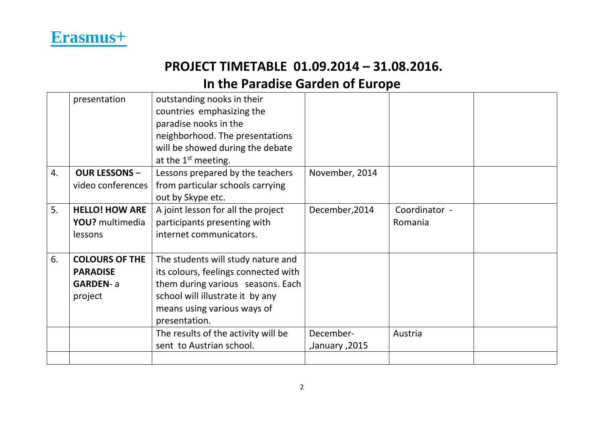

|    | presentation          | outstanding nooks in their           |                |               |  |
|----|-----------------------|--------------------------------------|----------------|---------------|--|
|    |                       | countries emphasizing the            |                |               |  |
|    |                       | paradise nooks in the                |                |               |  |
|    |                       | neighborhood. The presentations      |                |               |  |
|    |                       | will be showed during the debate     |                |               |  |
|    |                       | at the $1st$ meeting.                |                |               |  |
| 4. | <b>OUR LESSONS -</b>  | Lessons prepared by the teachers     | November, 2014 |               |  |
|    | video conferences     | from particular schools carrying     |                |               |  |
|    |                       | out by Skype etc.                    |                |               |  |
| 5. | <b>HELLO! HOW ARE</b> | A joint lesson for all the project   | December, 2014 | Coordinator - |  |
|    | YOU? multimedia       | participants presenting with         |                | Romania       |  |
|    | lessons               | internet communicators.              |                |               |  |
|    |                       |                                      |                |               |  |
| 6. | <b>COLOURS OF THE</b> | The students will study nature and   |                |               |  |
|    | <b>PARADISE</b>       | its colours, feelings connected with |                |               |  |
|    | <b>GARDEN-a</b>       | them during various seasons. Each    |                |               |  |
|    | project               | school will illustrate it by any     |                |               |  |
|    |                       | means using various ways of          |                |               |  |
|    |                       | presentation.                        |                |               |  |
|    |                       | The results of the activity will be  | December-      | Austria       |  |
|    |                       | sent to Austrian school.             | ,January ,2015 |               |  |
|    |                       |                                      |                |               |  |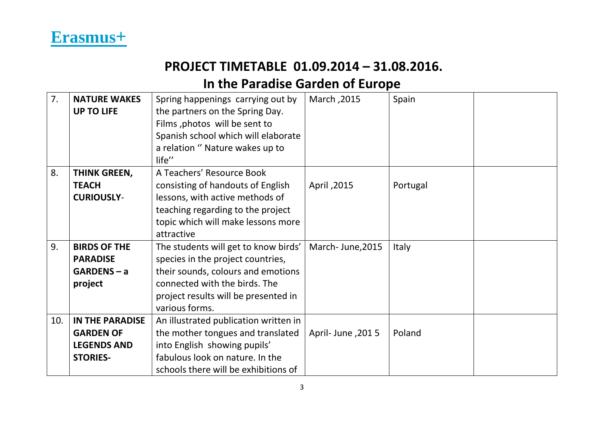

| 7.  | <b>NATURE WAKES</b>    | Spring happenings carrying out by     | March, 2015      | Spain        |  |
|-----|------------------------|---------------------------------------|------------------|--------------|--|
|     | <b>UP TO LIFE</b>      | the partners on the Spring Day.       |                  |              |  |
|     |                        | Films, photos will be sent to         |                  |              |  |
|     |                        | Spanish school which will elaborate   |                  |              |  |
|     |                        | a relation " Nature wakes up to       |                  |              |  |
|     |                        | life"                                 |                  |              |  |
| 8.  | THINK GREEN,           | A Teachers' Resource Book             |                  |              |  |
|     | <b>TEACH</b>           | consisting of handouts of English     | April, 2015      | Portugal     |  |
|     | <b>CURIOUSLY-</b>      | lessons, with active methods of       |                  |              |  |
|     |                        | teaching regarding to the project     |                  |              |  |
|     |                        | topic which will make lessons more    |                  |              |  |
|     |                        | attractive                            |                  |              |  |
| 9.  | <b>BIRDS OF THE</b>    | The students will get to know birds'  | March-June, 2015 | <b>Italy</b> |  |
|     | <b>PARADISE</b>        | species in the project countries,     |                  |              |  |
|     | $GARDENS - a$          | their sounds, colours and emotions    |                  |              |  |
|     | project                | connected with the birds. The         |                  |              |  |
|     |                        | project results will be presented in  |                  |              |  |
|     |                        | various forms.                        |                  |              |  |
| 10. | <b>IN THE PARADISE</b> | An illustrated publication written in |                  |              |  |
|     | <b>GARDEN OF</b>       | the mother tongues and translated     | April-June, 2015 | Poland       |  |
|     | <b>LEGENDS AND</b>     | into English showing pupils'          |                  |              |  |
|     | <b>STORIES-</b>        | fabulous look on nature. In the       |                  |              |  |
|     |                        | schools there will be exhibitions of  |                  |              |  |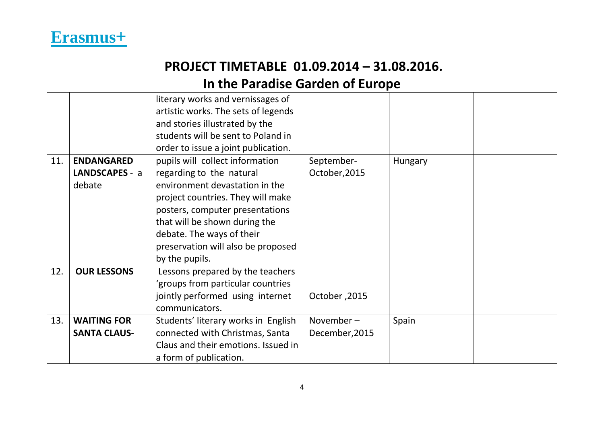

|     |                     | literary works and vernissages of   |                |         |  |
|-----|---------------------|-------------------------------------|----------------|---------|--|
|     |                     | artistic works. The sets of legends |                |         |  |
|     |                     | and stories illustrated by the      |                |         |  |
|     |                     | students will be sent to Poland in  |                |         |  |
|     |                     | order to issue a joint publication. |                |         |  |
| 11. | <b>ENDANGARED</b>   | pupils will collect information     | September-     | Hungary |  |
|     | LANDSCAPES - a      | regarding to the natural            | October, 2015  |         |  |
|     | debate              | environment devastation in the      |                |         |  |
|     |                     | project countries. They will make   |                |         |  |
|     |                     | posters, computer presentations     |                |         |  |
|     |                     | that will be shown during the       |                |         |  |
|     |                     | debate. The ways of their           |                |         |  |
|     |                     | preservation will also be proposed  |                |         |  |
|     |                     | by the pupils.                      |                |         |  |
| 12. | <b>OUR LESSONS</b>  | Lessons prepared by the teachers    |                |         |  |
|     |                     | groups from particular countries    |                |         |  |
|     |                     | jointly performed using internet    | October, 2015  |         |  |
|     |                     | communicators.                      |                |         |  |
| 13. | <b>WAITING FOR</b>  | Students' literary works in English | November-      | Spain   |  |
|     | <b>SANTA CLAUS-</b> | connected with Christmas, Santa     | December, 2015 |         |  |
|     |                     | Claus and their emotions. Issued in |                |         |  |
|     |                     | a form of publication.              |                |         |  |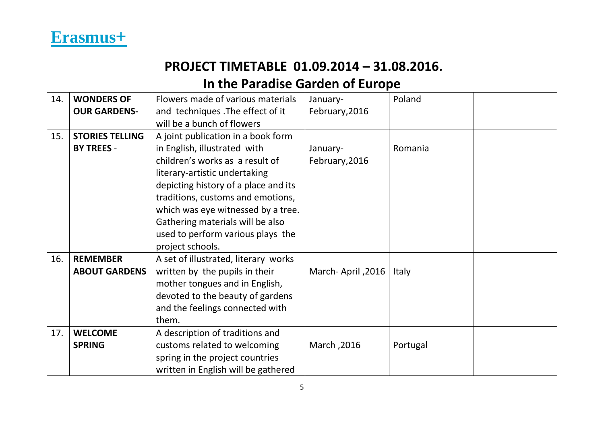

| 14. | <b>WONDERS OF</b>      | Flowers made of various materials    | January-          | Poland   |  |
|-----|------------------------|--------------------------------------|-------------------|----------|--|
|     | <b>OUR GARDENS-</b>    | and techniques . The effect of it    | February, 2016    |          |  |
|     |                        | will be a bunch of flowers           |                   |          |  |
| 15. | <b>STORIES TELLING</b> | A joint publication in a book form   |                   |          |  |
|     | <b>BY TREES -</b>      | in English, illustrated with         | January-          | Romania  |  |
|     |                        | children's works as a result of      | February, 2016    |          |  |
|     |                        | literary-artistic undertaking        |                   |          |  |
|     |                        | depicting history of a place and its |                   |          |  |
|     |                        | traditions, customs and emotions,    |                   |          |  |
|     |                        | which was eye witnessed by a tree.   |                   |          |  |
|     |                        | Gathering materials will be also     |                   |          |  |
|     |                        | used to perform various plays the    |                   |          |  |
|     |                        | project schools.                     |                   |          |  |
| 16. | <b>REMEMBER</b>        | A set of illustrated, literary works |                   |          |  |
|     | <b>ABOUT GARDENS</b>   | written by the pupils in their       | March-April, 2016 | Italy    |  |
|     |                        | mother tongues and in English,       |                   |          |  |
|     |                        | devoted to the beauty of gardens     |                   |          |  |
|     |                        | and the feelings connected with      |                   |          |  |
|     |                        | them.                                |                   |          |  |
| 17. | <b>WELCOME</b>         | A description of traditions and      |                   |          |  |
|     | <b>SPRING</b>          | customs related to welcoming         | March, 2016       | Portugal |  |
|     |                        | spring in the project countries      |                   |          |  |
|     |                        | written in English will be gathered  |                   |          |  |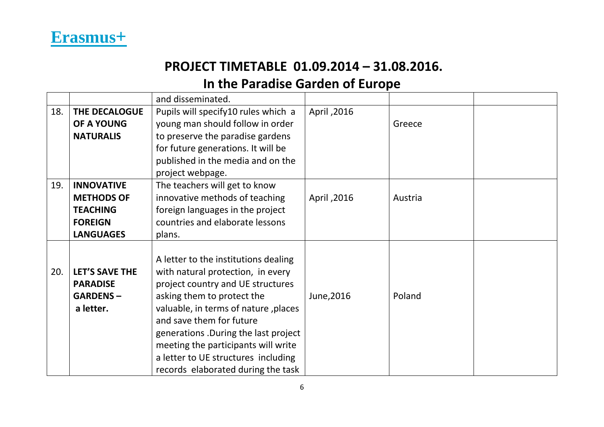|     |                       | and disseminated.                    |             |         |  |
|-----|-----------------------|--------------------------------------|-------------|---------|--|
| 18. | THE DECALOGUE         | Pupils will specify 10 rules which a | April, 2016 |         |  |
|     | OF A YOUNG            | young man should follow in order     |             | Greece  |  |
|     | <b>NATURALIS</b>      | to preserve the paradise gardens     |             |         |  |
|     |                       | for future generations. It will be   |             |         |  |
|     |                       | published in the media and on the    |             |         |  |
|     |                       | project webpage.                     |             |         |  |
| 19. | <b>INNOVATIVE</b>     | The teachers will get to know        |             |         |  |
|     | <b>METHODS OF</b>     | innovative methods of teaching       | April, 2016 | Austria |  |
|     | <b>TEACHING</b>       | foreign languages in the project     |             |         |  |
|     | <b>FOREIGN</b>        | countries and elaborate lessons      |             |         |  |
|     | <b>LANGUAGES</b>      | plans.                               |             |         |  |
|     |                       |                                      |             |         |  |
|     |                       | A letter to the institutions dealing |             |         |  |
| 20. | <b>LET'S SAVE THE</b> | with natural protection, in every    |             |         |  |
|     | <b>PARADISE</b>       | project country and UE structures    |             |         |  |
|     | <b>GARDENS-</b>       | asking them to protect the           | June, 2016  | Poland  |  |
|     | a letter.             | valuable, in terms of nature, places |             |         |  |
|     |                       | and save them for future             |             |         |  |
|     |                       | generations. During the last project |             |         |  |
|     |                       | meeting the participants will write  |             |         |  |
|     |                       | a letter to UE structures including  |             |         |  |
|     |                       | records elaborated during the task   |             |         |  |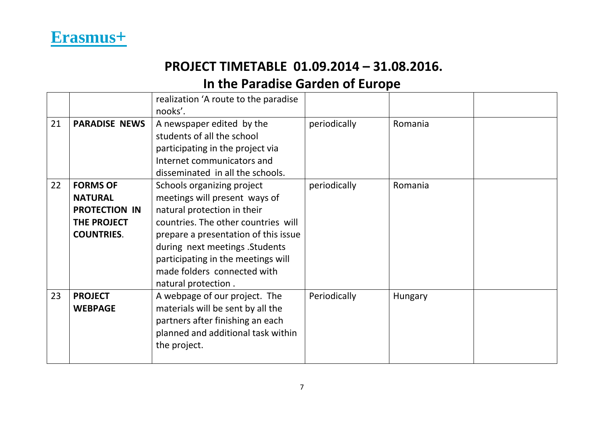

|    |                                                                                               | realization 'A route to the paradise<br>nooks'.                                                                                                                                                                                                                                                          |              |         |  |
|----|-----------------------------------------------------------------------------------------------|----------------------------------------------------------------------------------------------------------------------------------------------------------------------------------------------------------------------------------------------------------------------------------------------------------|--------------|---------|--|
| 21 | <b>PARADISE NEWS</b>                                                                          | A newspaper edited by the<br>students of all the school<br>participating in the project via<br>Internet communicators and<br>disseminated in all the schools.                                                                                                                                            | periodically | Romania |  |
| 22 | <b>FORMS OF</b><br><b>NATURAL</b><br><b>PROTECTION IN</b><br>THE PROJECT<br><b>COUNTRIES.</b> | Schools organizing project<br>meetings will present ways of<br>natural protection in their<br>countries. The other countries will<br>prepare a presentation of this issue<br>during next meetings . Students<br>participating in the meetings will<br>made folders connected with<br>natural protection. | periodically | Romania |  |
| 23 | <b>PROJECT</b><br><b>WEBPAGE</b>                                                              | A webpage of our project. The<br>materials will be sent by all the<br>partners after finishing an each<br>planned and additional task within<br>the project.                                                                                                                                             | Periodically | Hungary |  |